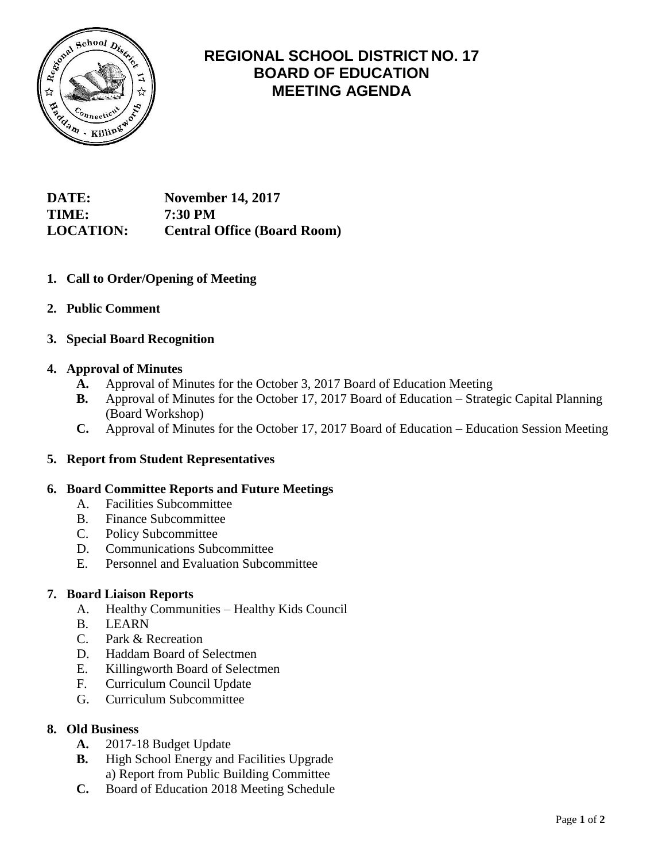

# **REGIONAL SCHOOL DISTRICT NO. 17 BOARD OF EDUCATION MEETING AGENDA**

**DATE: November 14, 2017 TIME: 7:30 PM LOCATION: Central Office (Board Room)**

- **1. Call to Order/Opening of Meeting**
- **2. Public Comment**
- **3. Special Board Recognition**

## **4. Approval of Minutes**

- **A.** Approval of Minutes for the October 3, 2017 Board of Education Meeting
- **B.** Approval of Minutes for the October 17, 2017 Board of Education Strategic Capital Planning (Board Workshop)
- **C.** Approval of Minutes for the October 17, 2017 Board of Education Education Session Meeting

## **5. Report from Student Representatives**

## **6. Board Committee Reports and Future Meetings**

- A. Facilities Subcommittee
- B. Finance Subcommittee
- C. Policy Subcommittee
- D. Communications Subcommittee
- E. Personnel and Evaluation Subcommittee

## **7. Board Liaison Reports**

- A. Healthy Communities Healthy Kids Council
- B. LEARN
- C. Park & Recreation
- D. Haddam Board of Selectmen
- E. Killingworth Board of Selectmen
- F. Curriculum Council Update
- G. Curriculum Subcommittee

## **8. Old Business**

- **A.** 2017-18 Budget Update
- **B.** High School Energy and Facilities Upgrade a) Report from Public Building Committee
- **C.** Board of Education 2018 Meeting Schedule